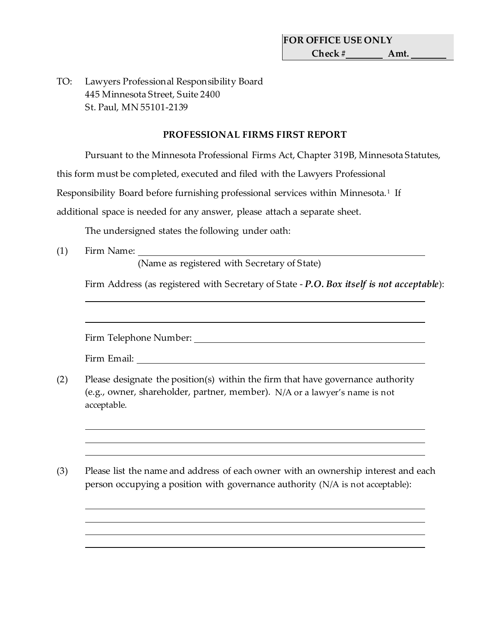TO: Lawyers Professional Responsibility Board 445 Minnesota Street, Suite 2400 St. Paul, MN 55101-2139

## **PROFESSIONAL FIRMS FIRST REPORT**

Pursuant to the Minnesota Professional Firms Act, Chapter 319B, Minnesota Statutes,

this form must be completed, executed and filed with the Lawyers Professional

Responsibility Board before furnishing professional services within Minnesota.<sup>[1](#page-1-0)</sup> If

additional space is needed for any answer, please attach a separate sheet.

The undersigned states the following under oath:

(1) Firm Name:

(Name as registered with Secretary of State)

Firm Address (as registered with Secretary of State - *P.O. Box itself is not acceptable*):

Firm Telephone Number:

Firm Email:

- (2) Please designate the position(s) within the firm that have governance authority (e.g., owner, shareholder, partner, member). N/A or a lawyer's name is not acceptable.
- (3) Please list the name and address of each owner with an ownership interest and each person occupying a position with governance authority (N/A is not acceptable):